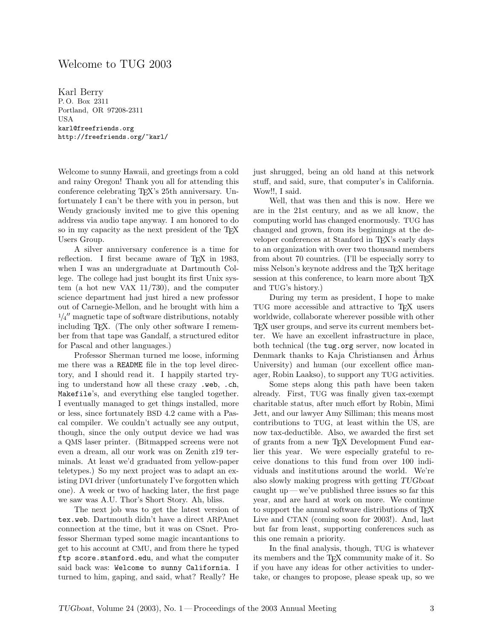## Welcome to TUG 2003

Karl Berry P. O. Box 2311 Portland, OR 97208-2311 USA karl@freefriends.org http://freefriends.org/~karl/

Welcome to sunny Hawaii, and greetings from a cold and rainy Oregon! Thank you all for attending this conference celebrating TEX's 25th anniversary. Unfortunately I can't be there with you in person, but Wendy graciously invited me to give this opening address via audio tape anyway. I am honored to do so in my capacity as the next president of the TFX Users Group.

A silver anniversary conference is a time for reflection. I first became aware of TEX in 1983, when I was an undergraduate at Dartmouth College. The college had just bought its first Unix system (a hot new VAX 11/730), and the computer science department had just hired a new professor out of Carnegie-Mellon, and he brought with him a  $1/4$ <sup>"</sup> magnetic tape of software distributions, notably including TEX. (The only other software I remember from that tape was Gandalf, a structured editor for Pascal and other languages.)

Professor Sherman turned me loose, informing me there was a README file in the top level directory, and I should read it. I happily started trying to understand how all these crazy .web, .ch, Makefile's, and everything else tangled together. I eventually managed to get things installed, more or less, since fortunately BSD 4.2 came with a Pascal compiler. We couldn't actually see any output, though, since the only output device we had was a QMS laser printer. (Bitmapped screens were not even a dream, all our work was on Zenith z19 terminals. At least we'd graduated from yellow-paper teletypes.) So my next project was to adapt an existing DVI driver (unfortunately I've forgotten which one). A week or two of hacking later, the first page we saw was A.U. Thor's Short Story. Ah, bliss.

The next job was to get the latest version of tex.web. Dartmouth didn't have a direct ARPAnet connection at the time, but it was on CSnet. Professor Sherman typed some magic incantantions to get to his account at CMU, and from there he typed ftp score.stanford.edu, and what the computer said back was: Welcome to sunny California. I turned to him, gaping, and said, what? Really? He

just shrugged, being an old hand at this network stuff, and said, sure, that computer's in California. Wow!!, I said.

Well, that was then and this is now. Here we are in the 21st century, and as we all know, the computing world has changed enormously. TUG has changed and grown, from its beginnings at the developer conferences at Stanford in T<sub>E</sub>X's early days to an organization with over two thousand members from about 70 countries. (I'll be especially sorry to miss Nelson's keynote address and the T<sub>EX</sub> heritage session at this conference, to learn more about T<sub>EX</sub> and TUG's history.)

During my term as president, I hope to make TUG more accessible and attractive to TEX users worldwide, collaborate wherever possible with other TEX user groups, and serve its current members better. We have an excellent infrastructure in place, both technical (the tug.org server, now located in Denmark thanks to Kaja Christiansen and Århus University) and human (our excellent office manager, Robin Laakso), to support any TUG activities.

Some steps along this path have been taken already. First, TUG was finally given tax-exempt charitable status, after much effort by Robin, Mimi Jett, and our lawyer Amy Silliman; this means most contributions to TUG, at least within the US, are now tax-deductible. Also, we awarded the first set of grants from a new TEX Development Fund earlier this year. We were especially grateful to receive donations to this fund from over 100 individuals and institutions around the world. We're also slowly making progress with getting TUGboat caught up— we've published three issues so far this year, and are hard at work on more. We continue to support the annual software distributions of TEX Live and CTAN (coming soon for 2003!). And, last but far from least, supporting conferences such as this one remain a priority.

In the final analysis, though, TUG is whatever its members and the TEX community make of it. So if you have any ideas for other activities to undertake, or changes to propose, please speak up, so we